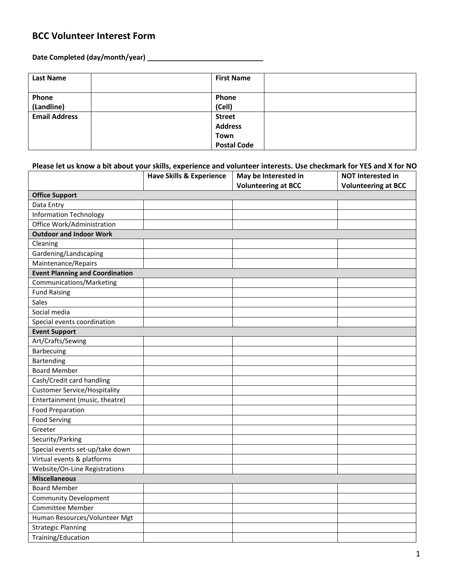## **BCC Volunteer Interest Form**

**Date Completed (day/month/year) \_\_\_\_\_\_\_\_\_\_\_\_\_\_\_\_\_\_\_\_\_\_\_\_\_\_\_\_\_\_**

| <b>Last Name</b>     | <b>First Name</b>  |
|----------------------|--------------------|
| Phone                | Phone              |
| (Landline)           | (Cell)             |
| <b>Email Address</b> | <b>Street</b>      |
|                      | <b>Address</b>     |
|                      | Town               |
|                      | <b>Postal Code</b> |

## **Please let us know a bit about your skills, experience and volunteer interests. Use checkmark for YES and X for NO**

|                                        | <b>Have Skills &amp; Experience</b> | May be Interested in<br><b>Volunteering at BCC</b> | <b>NOT Interested in</b><br><b>Volunteering at BCC</b> |
|----------------------------------------|-------------------------------------|----------------------------------------------------|--------------------------------------------------------|
| <b>Office Support</b>                  |                                     |                                                    |                                                        |
| Data Entry                             |                                     |                                                    |                                                        |
| <b>Information Technology</b>          |                                     |                                                    |                                                        |
| Office Work/Administration             |                                     |                                                    |                                                        |
| <b>Outdoor and Indoor Work</b>         |                                     |                                                    |                                                        |
| Cleaning                               |                                     |                                                    |                                                        |
| Gardening/Landscaping                  |                                     |                                                    |                                                        |
| Maintenance/Repairs                    |                                     |                                                    |                                                        |
| <b>Event Planning and Coordination</b> |                                     |                                                    |                                                        |
| Communications/Marketing               |                                     |                                                    |                                                        |
| <b>Fund Raising</b>                    |                                     |                                                    |                                                        |
| Sales                                  |                                     |                                                    |                                                        |
| Social media                           |                                     |                                                    |                                                        |
| Special events coordination            |                                     |                                                    |                                                        |
| <b>Event Support</b>                   |                                     |                                                    |                                                        |
| Art/Crafts/Sewing                      |                                     |                                                    |                                                        |
| Barbecuing                             |                                     |                                                    |                                                        |
| Bartending                             |                                     |                                                    |                                                        |
| <b>Board Member</b>                    |                                     |                                                    |                                                        |
| Cash/Credit card handling              |                                     |                                                    |                                                        |
| <b>Customer Service/Hospitality</b>    |                                     |                                                    |                                                        |
| Entertainment (music, theatre)         |                                     |                                                    |                                                        |
| <b>Food Preparation</b>                |                                     |                                                    |                                                        |
| <b>Food Serving</b>                    |                                     |                                                    |                                                        |
| Greeter                                |                                     |                                                    |                                                        |
| Security/Parking                       |                                     |                                                    |                                                        |
| Special events set-up/take down        |                                     |                                                    |                                                        |
| Virtual events & platforms             |                                     |                                                    |                                                        |
| Website/On-Line Registrations          |                                     |                                                    |                                                        |
| <b>Miscellaneous</b>                   |                                     |                                                    |                                                        |
| <b>Board Member</b>                    |                                     |                                                    |                                                        |
| <b>Community Development</b>           |                                     |                                                    |                                                        |
| <b>Committee Member</b>                |                                     |                                                    |                                                        |
| Human Resources/Volunteer Mgt          |                                     |                                                    |                                                        |
| <b>Strategic Planning</b>              |                                     |                                                    |                                                        |
| Training/Education                     |                                     |                                                    |                                                        |